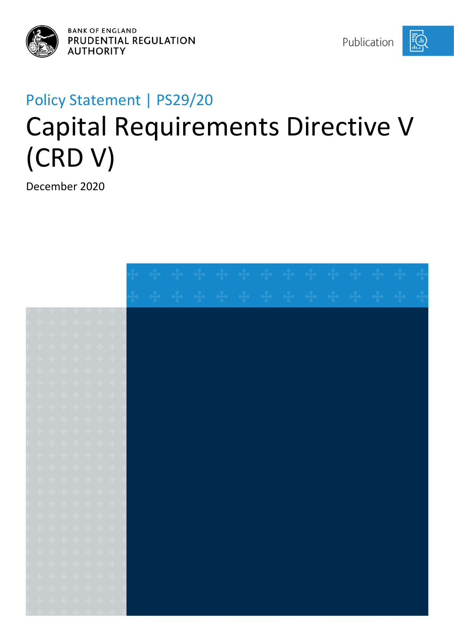

**BANK OF ENGLAND** PRUDENTIAL REGULATION **AUTHORITY** 

Publication

[∩َ]

# Policy Statement | PS29/20 Capital Requirements Directive V (CRD V)

December 2020

|  |  | <u>and and and and an</u>                                                                                                                                                                                                                                                                                                                                                                                                                                                                |  |  |  |  |  |  |  |  |
|--|--|------------------------------------------------------------------------------------------------------------------------------------------------------------------------------------------------------------------------------------------------------------------------------------------------------------------------------------------------------------------------------------------------------------------------------------------------------------------------------------------|--|--|--|--|--|--|--|--|
|  |  | $\begin{array}{ccccccccccccc} \bullet\bullet\hspace{0.2cm}& \bullet\hspace{0.2cm}& \bullet\hspace{0.2cm}& \bullet\hspace{0.2cm}& \bullet\hspace{0.2cm}& \bullet\hspace{0.2cm}& \bullet\hspace{0.2cm}& \bullet\hspace{0.2cm}& \bullet\hspace{0.2cm}& \bullet\hspace{0.2cm}& \bullet\hspace{0.2cm}& \bullet\hspace{0.2cm}& \bullet\hspace{0.2cm}& \bullet\hspace{0.2cm}& \bullet\hspace{0.2cm}& \bullet\hspace{0.2cm}& \bullet\hspace{0.2cm}& \bullet\hspace{0.2cm}& \bullet\hspace{0.2cm$ |  |  |  |  |  |  |  |  |
|  |  |                                                                                                                                                                                                                                                                                                                                                                                                                                                                                          |  |  |  |  |  |  |  |  |
|  |  | + + + + + + +                                                                                                                                                                                                                                                                                                                                                                                                                                                                            |  |  |  |  |  |  |  |  |
|  |  |                                                                                                                                                                                                                                                                                                                                                                                                                                                                                          |  |  |  |  |  |  |  |  |
|  |  | + + + + + + +                                                                                                                                                                                                                                                                                                                                                                                                                                                                            |  |  |  |  |  |  |  |  |
|  |  | $\begin{array}{cccccccccccccc} \mathbf{+} & \mathbf{+} & \mathbf{+} & \mathbf{+} & \mathbf{+} & \mathbf{+} & \mathbf{+} & \mathbf{+} \end{array}$                                                                                                                                                                                                                                                                                                                                        |  |  |  |  |  |  |  |  |
|  |  | $\begin{array}{cccccccccccccc} +&+&+&+&+&+&+&+ \end{array}$                                                                                                                                                                                                                                                                                                                                                                                                                              |  |  |  |  |  |  |  |  |
|  |  | $\frac{1}{2} \left( \begin{array}{ccc} \frac{1}{2} & \frac{1}{2} & \frac{1}{2} & \frac{1}{2} & \frac{1}{2} & \frac{1}{2} & \frac{1}{2} \\ \frac{1}{2} & \frac{1}{2} & \frac{1}{2} & \frac{1}{2} & \frac{1}{2} & \frac{1}{2} \\ \frac{1}{2} & \frac{1}{2} & \frac{1}{2} & \frac{1}{2} & \frac{1}{2} & \frac{1}{2} \\ \frac{1}{2} & \frac{1}{2} & \frac{1}{2} & \frac{1}{2} & \frac{1}{2} & \frac{1}{2} \\ \frac{$                                                                         |  |  |  |  |  |  |  |  |
|  |  | $\begin{array}{ccccccccccccc} \bullet\bullet\hspace{0.2cm}& \bullet\hspace{0.2cm}& \bullet\hspace{0.2cm}& \bullet\hspace{0.2cm}& \bullet\hspace{0.2cm}& \bullet\hspace{0.2cm}& \bullet\hspace{0.2cm}& \bullet\hspace{0.2cm}& \bullet\hspace{0.2cm}& \bullet\hspace{0.2cm}& \bullet\hspace{0.2cm}& \bullet\hspace{0.2cm}& \bullet\hspace{0.2cm}& \bullet\hspace{0.2cm}& \bullet\hspace{0.2cm}& \bullet\hspace{0.2cm}& \bullet\hspace{0.2cm}& \bullet\hspace{0.2cm}& \bullet\hspace{0.2cm$ |  |  |  |  |  |  |  |  |
|  |  |                                                                                                                                                                                                                                                                                                                                                                                                                                                                                          |  |  |  |  |  |  |  |  |
|  |  | + + + + + + +                                                                                                                                                                                                                                                                                                                                                                                                                                                                            |  |  |  |  |  |  |  |  |
|  |  | $\begin{array}{cccccccccccccc} \bullet\frac{1}{4} & \bullet\frac{1}{4} & \bullet\frac{1}{4} & \bullet\frac{1}{4} & \bullet\frac{1}{4} & \bullet\frac{1}{4} & \bullet\frac{1}{4} & \bullet\frac{1}{4} & \bullet\frac{1}{4} & \bullet\frac{1}{4} & \bullet\frac{1}{4} & \bullet\frac{1}{4} & \bullet\frac{1}{4} & \bullet\frac{1}{4} & \bullet\frac{1}{4} & \bullet\frac{1}{4} & \bullet\frac{1}{4} & \bullet\frac{1}{4} & \bullet\frac{1}{4} & \bullet\frac{1}{4} & \bullet\frac{1}{4} &$ |  |  |  |  |  |  |  |  |
|  |  | $\begin{array}{cccccccccccccc} \mathbf{+} & \mathbf{+} & \mathbf{+} & \mathbf{+} & \mathbf{+} & \mathbf{+} & \mathbf{+} & \mathbf{+} \end{array}$                                                                                                                                                                                                                                                                                                                                        |  |  |  |  |  |  |  |  |
|  |  | + + + + + + +                                                                                                                                                                                                                                                                                                                                                                                                                                                                            |  |  |  |  |  |  |  |  |
|  |  | $\begin{array}{ccccccccccccc} \mathbf{q}_1 & \mathbf{q}_2 & \mathbf{q}_3 & \mathbf{q}_4 & \mathbf{q}_5 & \mathbf{q}_6 & \mathbf{q}_7 & \mathbf{q}_7 \end{array}$                                                                                                                                                                                                                                                                                                                         |  |  |  |  |  |  |  |  |
|  |  | * * * * * * *                                                                                                                                                                                                                                                                                                                                                                                                                                                                            |  |  |  |  |  |  |  |  |
|  |  | $\begin{aligned} \frac{1}{2} \mathbf{1} \quad & \frac{1}{2} \mathbf{1} \quad \frac{1}{2} \mathbf{1} \quad \frac{1}{2} \mathbf{1} \quad \frac{1}{2} \mathbf{1} \quad \frac{1}{2} \mathbf{1} \quad \frac{1}{2} \mathbf{1} \quad \frac{1}{2} \mathbf{1} \end{aligned}$                                                                                                                                                                                                                      |  |  |  |  |  |  |  |  |
|  |  | $\begin{array}{ccccccccccccc} \mathbf{+} & \mathbf{+} & \mathbf{+} & \mathbf{+} & \mathbf{+} & \mathbf{+} & \mathbf{+} & \mathbf{+} \end{array}$                                                                                                                                                                                                                                                                                                                                         |  |  |  |  |  |  |  |  |
|  |  | $\begin{array}{cccccccccccccc} \mathbf{d}_1 & \mathbf{d}_2 & \mathbf{d}_3 & \mathbf{d}_4 & \mathbf{d}_5 & \mathbf{d}_7 & \mathbf{d}_8 & \mathbf{d}_7 \end{array}$                                                                                                                                                                                                                                                                                                                        |  |  |  |  |  |  |  |  |
|  |  | $\begin{array}{ccccccccccccc} \bullet\bullet\hspace{0.2cm}& \bullet\hspace{0.2cm}& \bullet\hspace{0.2cm}& \bullet\hspace{0.2cm}& \bullet\hspace{0.2cm}& \bullet\hspace{0.2cm}& \bullet\hspace{0.2cm}& \bullet\hspace{0.2cm}& \bullet\hspace{0.2cm}& \bullet\hspace{0.2cm}& \bullet\hspace{0.2cm}& \bullet\hspace{0.2cm}& \bullet\hspace{0.2cm}& \bullet\hspace{0.2cm}& \bullet\hspace{0.2cm}& \bullet\hspace{0.2cm}& \bullet\hspace{0.2cm}& \bullet\hspace{0.2cm}& \bullet\hspace{0.2cm$ |  |  |  |  |  |  |  |  |
|  |  |                                                                                                                                                                                                                                                                                                                                                                                                                                                                                          |  |  |  |  |  |  |  |  |
|  |  | $\begin{array}{ccccccccccccc} \bullet\bullet\hspace{0.2cm}& \bullet\hspace{0.2cm}& \bullet\hspace{0.2cm}& \bullet\hspace{0.2cm}& \bullet\hspace{0.2cm}& \bullet\hspace{0.2cm}& \bullet\hspace{0.2cm}& \bullet\hspace{0.2cm}& \bullet\hspace{0.2cm}& \bullet\hspace{0.2cm}& \bullet\hspace{0.2cm}& \bullet\hspace{0.2cm}& \bullet\hspace{0.2cm}& \bullet\hspace{0.2cm}& \bullet\hspace{0.2cm}& \bullet\hspace{0.2cm}& \bullet\hspace{0.2cm}& \bullet\hspace{0.2cm}& \bullet\hspace{0.2cm$ |  |  |  |  |  |  |  |  |
|  |  | ++++++++                                                                                                                                                                                                                                                                                                                                                                                                                                                                                 |  |  |  |  |  |  |  |  |
|  |  |                                                                                                                                                                                                                                                                                                                                                                                                                                                                                          |  |  |  |  |  |  |  |  |
|  |  |                                                                                                                                                                                                                                                                                                                                                                                                                                                                                          |  |  |  |  |  |  |  |  |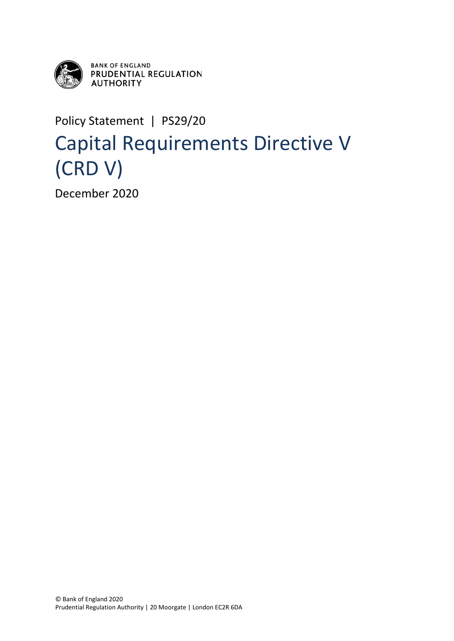

**BANK OF ENGLAND PRUDENTIAL REGULATION<br>AUTHORITY** 

Policy Statement | PS29/20

## Capital Requirements Directive V (CRD V)

December 2020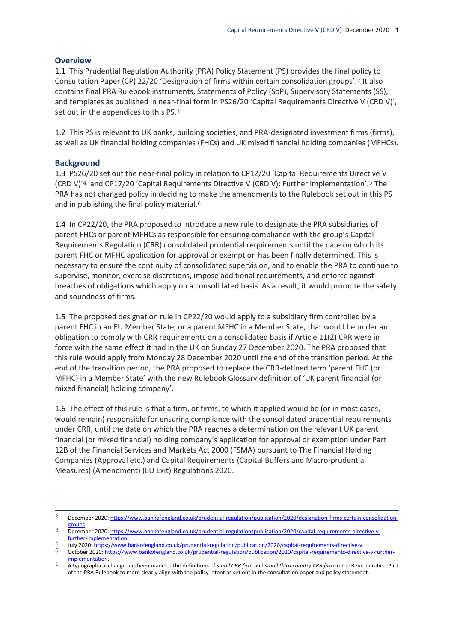#### **Overview**

1.1 This Prudential Regulation Authority (PRA) Policy Statement (PS) provides the final policy to Consultation Paper (CP) 22/20 'Designation of firms within certain consolidation groups'.2 It also contains final PRA Rulebook instruments, Statements of Policy (SoP), Supervisory Statements (SS), and templates as published in near-final form in PS26/20 'Capital Requirements Directive V (CRD V)', set out in the appendices to this PS.3

1.2 This PS is relevant to UK banks, building societies, and PRA-designated investment firms (firms), as well as UK financial holding companies (FHCs) and UK mixed financial holding companies (MFHCs).

#### **Background**

1.3 PS26/20 set out the near-final policy in relation to CP12/20 'Capital Requirements Directive V (CRD V)'4 and CP17/20 'Capital Requirements Directive V (CRD V): Further implementation'.5 The PRA has not changed policy in deciding to make the amendments to the Rulebook set out in this PS and in publishing the final policy material.<sup>6</sup>

1.4 In CP22/20, the PRA proposed to introduce a new rule to designate the PRA subsidiaries of parent FHCs or parent MFHCs as responsible for ensuring compliance with the group's Capital Requirements Regulation (CRR) consolidated prudential requirements until the date on which its parent FHC or MFHC application for approval or exemption has been finally determined. This is necessary to ensure the continuity of consolidated supervision, and to enable the PRA to continue to supervise, monitor, exercise discretions, impose additional requirements, and enforce against breaches of obligations which apply on a consolidated basis. As a result, it would promote the safety and soundness of firms.

1.5 The proposed designation rule in CP22/20 would apply to a subsidiary firm controlled by a parent FHC in an EU Member State, or a parent MFHC in a Member State, that would be under an obligation to comply with CRR requirements on a consolidated basis if Article 11(2) CRR were in force with the same effect it had in the UK on Sunday 27 December 2020. The PRA proposed that this rule would apply from Monday 28 December 2020 until the end of the transition period. At the end of the transition period, the PRA proposed to replace the CRR-defined term 'parent FHC (or MFHC) in a Member State' with the new Rulebook Glossary definition of 'UK parent financial (or mixed financial) holding company'.

1.6 The effect of this rule is that a firm, or firms, to which it applied would be (or in most cases, would remain) responsible for ensuring compliance with the consolidated prudential requirements under CRR, until the date on which the PRA reaches a determination on the relevant UK parent financial (or mixed financial) holding company's application for approval or exemption under Part 12B of the Financial Services and Markets Act 2000 (FSMA) pursuant to The Financial Holding Companies (Approval etc.) and Capital Requirements (Capital Buffers and Macro-prudential Measures) (Amendment) (EU Exit) Regulations 2020.

 $\overline{c}$ December 2020[: https://www.bankofengland.co.uk/prudential-regulation/publication/2020/designation-firms-certain-consolidation](https://www.bankofengland.co.uk/prudential-regulation/publication/2020/designation-firms-certain-consolidation-groups)[groups.](https://www.bankofengland.co.uk/prudential-regulation/publication/2020/designation-firms-certain-consolidation-groups)

<sup>3</sup> December 2020[: https://www.bankofengland.co.uk/prudential-regulation/publication/2020/capital-requirements-directive-v](https://www.bankofengland.co.uk/prudential-regulation/publication/2020/capital-requirements-directive-v-further-implementation)[further-implementation.](https://www.bankofengland.co.uk/prudential-regulation/publication/2020/capital-requirements-directive-v-further-implementation) 

 $\frac{4}{\text{July 2020: [https://www.bankofengland.co.uk/prudential-regulation/publication/2020/capital-requirement-directive-v.}](https://www.bankofengland.co.uk/prudential-regulation/publication/2020/capital-requirements-directive-v.)$  $\frac{4}{\text{July 2020: [https://www.bankofengland.co.uk/prudential-regulation/publication/2020/capital-requirement-directive-v.}](https://www.bankofengland.co.uk/prudential-regulation/publication/2020/capital-requirements-directive-v.)$  $\frac{4}{\text{July 2020: [https://www.bankofengland.co.uk/prudential-regulation/publication/2020/capital-requirement-directive-v.}](https://www.bankofengland.co.uk/prudential-regulation/publication/2020/capital-requirements-directive-v.)$ 

October 2020: [https://www.bankofengland.co.uk/prudential-regulation/publication/2020/capital-requirements-directive-v-further](https://www.bankofengland.co.uk/prudential-regulation/publication/2020/capital-requirements-directive-v-further-implementation)implementatio

<sup>6</sup> A typographical change has been made to the definitions of *small CRR firm* and *small third country CRR firm* in the Remuneration Part of the PRA Rulebook to more clearly align with the policy intent as set out in the consultation paper and policy statement.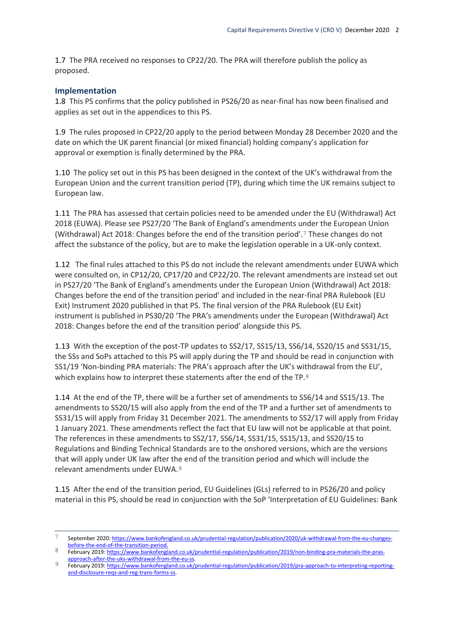1.7 The PRA received no responses to CP22/20*.* The PRA will therefore publish the policy as proposed.

#### **Implementation**

1.8 This PS confirms that the policy published in PS26/20 as near-final has now been finalised and applies as set out in the appendices to this PS.

1.9 The rules proposed in CP22/20 apply to the period between Monday 28 December 2020 and the date on which the UK parent financial (or mixed financial) holding company's application for approval or exemption is finally determined by the PRA.

1.10 The policy set out in this PS has been designed in the context of the UK's withdrawal from the European Union and the current transition period (TP), during which time the UK remains subject to European law.

1.11 The PRA has assessed that certain policies need to be amended under the EU (Withdrawal) Act 2018 (EUWA). Please see PS27/20 'The Bank of England's amendments under the European Union (Withdrawal) Act 2018: Changes before the end of the transition period'.7 These changes do not affect the substance of the policy, but are to make the legislation operable in a UK-only context*.*

1.12 The final rules attached to this PS do not include the relevant amendments under EUWA which were consulted on, in CP12/20, CP17/20 and CP22/20. The relevant amendments are instead set out in PS27/20 'The Bank of England's amendments under the European Union (Withdrawal) Act 2018: Changes before the end of the transition period' and included in the near-final PRA Rulebook (EU Exit) Instrument 2020 published in that PS. The final version of the PRA Rulebook (EU Exit) instrument is published in PS30/20 'The PRA's amendments under the European (Withdrawal) Act 2018: Changes before the end of the transition period' alongside this PS.

1.13 With the exception of the post-TP updates to SS2/17, SS15/13, SS6/14, SS20/15 and SS31/15, the SSs and SoPs attached to this PS will apply during the TP and should be read in conjunction with SS1/19 'Non-binding PRA materials: The PRA's approach after the UK's withdrawal from the EU', which explains how to interpret these statements after the end of the TP.8

1.14 At the end of the TP, there will be a further set of amendments to SS6/14 and SS15/13. The amendments to SS20/15 will also apply from the end of the TP and a further set of amendments to SS31/15 will apply from Friday 31 December 2021. The amendments to SS2/17 will apply from Friday 1 January 2021. These amendments reflect the fact that EU law will not be applicable at that point. The references in these amendments to SS2/17, SS6/14, SS31/15, SS15/13, and SS20/15 to Regulations and Binding Technical Standards are to the onshored versions, which are the versions that will apply under UK law after the end of the transition period and which will include the relevant amendments under EUWA.9

1.15 After the end of the transition period, EU Guidelines (GLs) referred to in PS26/20 and policy material in this PS, should be read in conjunction with the SoP 'Interpretation of EU Guidelines: Bank

 $\overline{7}$ 7 September 2020[: https://www.bankofengland.co.uk/prudential-regulation/publication/2020/uk-withdrawal-from-the-eu-changes](https://www.bankofengland.co.uk/prudential-regulation/publication/2020/uk-withdrawal-from-the-eu-changes-before-the-end-of-the-transition-period)[before-the-end-of-the-transition-period.](https://www.bankofengland.co.uk/prudential-regulation/publication/2020/uk-withdrawal-from-the-eu-changes-before-the-end-of-the-transition-period)

February 2019[: https://www.bankofengland.co.uk/prudential-regulation/publication/2019/non-binding-pra-materials-the-pras](https://www.bankofengland.co.uk/prudential-regulation/publication/2019/non-binding-pra-materials-the-pras-approach-after-the-uks-withdrawal-from-the-eu-ss)[approach-after-the-uks-withdrawal-from-the-eu-ss.](https://www.bankofengland.co.uk/prudential-regulation/publication/2019/non-binding-pra-materials-the-pras-approach-after-the-uks-withdrawal-from-the-eu-ss)

<sup>9</sup> February 2019[: https://www.bankofengland.co.uk/prudential-regulation/publication/2019/pra-approach-to-interpreting-reporting](https://www.bankofengland.co.uk/prudential-regulation/publication/2019/pra-approach-to-interpreting-reporting-and-disclosure-reqs-and-reg-trans-forms-ss)[and-disclosure-reqs-and-reg-trans-forms-ss.](https://www.bankofengland.co.uk/prudential-regulation/publication/2019/pra-approach-to-interpreting-reporting-and-disclosure-reqs-and-reg-trans-forms-ss)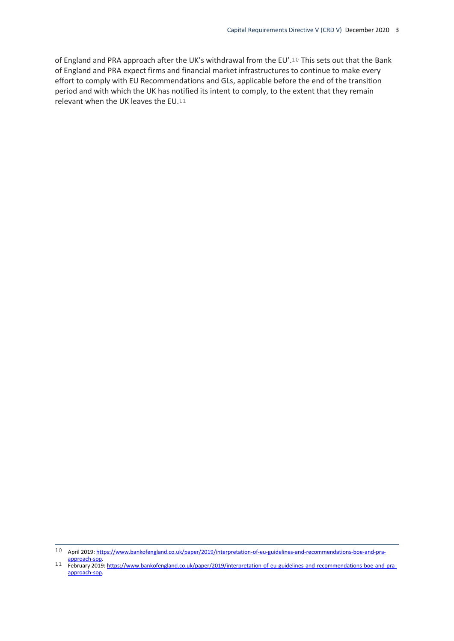of England and PRA approach after the UK's withdrawal from the EU'.10 This sets out that the Bank of England and PRA expect firms and financial market infrastructures to continue to make every effort to comply with EU Recommendations and GLs, applicable before the end of the transition period and with which the UK has notified its intent to comply, to the extent that they remain relevant when the UK leaves the EU.11

 $\overline{a}$ 

<sup>10</sup> April 2019[: https://www.bankofengland.co.uk/paper/2019/interpretation-of-eu-guidelines-and-recommendations-boe-and-pra](https://www.bankofengland.co.uk/paper/2019/interpretation-of-eu-guidelines-and-recommendations-boe-and-pra-approach-sop)[approach-sop.](https://www.bankofengland.co.uk/paper/2019/interpretation-of-eu-guidelines-and-recommendations-boe-and-pra-approach-sop)

<sup>11</sup> February 2019[: https://www.bankofengland.co.uk/paper/2019/interpretation-of-eu-guidelines-and-recommendations-boe-and-pra](https://www.bankofengland.co.uk/paper/2019/interpretation-of-eu-guidelines-and-recommendations-boe-and-pra-approach-sop)[approach-sop.](https://www.bankofengland.co.uk/paper/2019/interpretation-of-eu-guidelines-and-recommendations-boe-and-pra-approach-sop)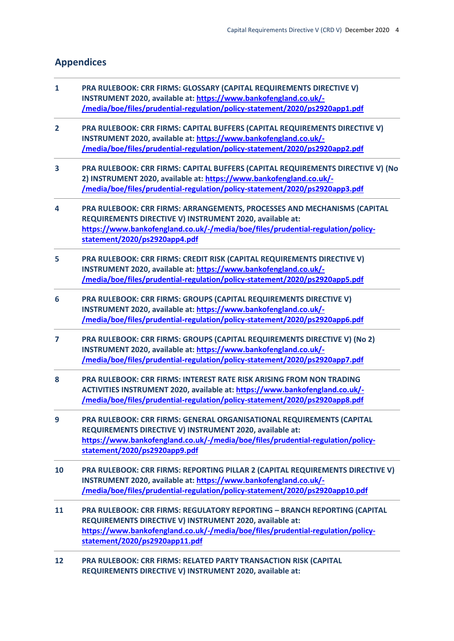### **Appendices**

- **1 PRA RULEBOOK: CRR FIRMS: GLOSSARY (CAPITAL REQUIREMENTS DIRECTIVE V) INSTRUMENT 2020, available at: [https://www.bankofengland.co.uk/-](https://www.bankofengland.co.uk/-/media/boe/files/prudential-regulation/policy-statement/2020/ps2920app1.pdf) [/media/boe/files/prudential-regulation/policy-statement/2020/ps2920app1.pdf](https://www.bankofengland.co.uk/-/media/boe/files/prudential-regulation/policy-statement/2020/ps2920app1.pdf)**
- **2 PRA RULEBOOK: CRR FIRMS: CAPITAL BUFFERS (CAPITAL REQUIREMENTS DIRECTIVE V) INSTRUMENT 2020, available at: [https://www.bankofengland.co.uk/-](https://www.bankofengland.co.uk/-/media/boe/files/prudential-regulation/policy-statement/2020/ps2920app2.pdf) [/media/boe/files/prudential-regulation/policy-statement/2020/ps2920app2.pdf](https://www.bankofengland.co.uk/-/media/boe/files/prudential-regulation/policy-statement/2020/ps2920app2.pdf)**
- **3 PRA RULEBOOK: CRR FIRMS: CAPITAL BUFFERS (CAPITAL REQUIREMENTS DIRECTIVE V) (No 2) INSTRUMENT 2020, available at: [https://www.bankofengland.co.uk/-](https://www.bankofengland.co.uk/-/media/boe/files/prudential-regulation/policy-statement/2020/ps2920app3.pdf) [/media/boe/files/prudential-regulation/policy-statement/2020/ps2920app3.pdf](https://www.bankofengland.co.uk/-/media/boe/files/prudential-regulation/policy-statement/2020/ps2920app3.pdf)**
- **4 PRA RULEBOOK: CRR FIRMS: ARRANGEMENTS, PROCESSES AND MECHANISMS (CAPITAL REQUIREMENTS DIRECTIVE V) INSTRUMENT 2020, available at: [https://www.bankofengland.co.uk/-/media/boe/files/prudential-regulation/policy](https://www.bankofengland.co.uk/-/media/boe/files/prudential-regulation/policy-statement/2020/ps2920app4.pdf)[statement/2020/ps2920app4.pdf](https://www.bankofengland.co.uk/-/media/boe/files/prudential-regulation/policy-statement/2020/ps2920app4.pdf)**
- **5 PRA RULEBOOK: CRR FIRMS: CREDIT RISK (CAPITAL REQUIREMENTS DIRECTIVE V) INSTRUMENT 2020, available at: [https://www.bankofengland.co.uk/-](https://www.bankofengland.co.uk/-/media/boe/files/prudential-regulation/policy-statement/2020/ps2920app5.pdf) [/media/boe/files/prudential-regulation/policy-statement/2020/ps2920app5.pdf](https://www.bankofengland.co.uk/-/media/boe/files/prudential-regulation/policy-statement/2020/ps2920app5.pdf)**
- **6 PRA RULEBOOK: CRR FIRMS: GROUPS (CAPITAL REQUIREMENTS DIRECTIVE V) INSTRUMENT 2020, available at: [https://www.bankofengland.co.uk/-](https://www.bankofengland.co.uk/-/media/boe/files/prudential-regulation/policy-statement/2020/ps2920app6.pdf) [/media/boe/files/prudential-regulation/policy-statement/2020/ps2920app6.pdf](https://www.bankofengland.co.uk/-/media/boe/files/prudential-regulation/policy-statement/2020/ps2920app6.pdf)**
- **7 PRA RULEBOOK: CRR FIRMS: GROUPS (CAPITAL REQUIREMENTS DIRECTIVE V) (No 2) INSTRUMENT 2020, available at: [https://www.bankofengland.co.uk/-](https://www.bankofengland.co.uk/-/media/boe/files/prudential-regulation/policy-statement/2020/ps2920app7.pdf) [/media/boe/files/prudential-regulation/policy-statement/2020/ps2920app7.pdf](https://www.bankofengland.co.uk/-/media/boe/files/prudential-regulation/policy-statement/2020/ps2920app7.pdf)**
- **8 PRA RULEBOOK: CRR FIRMS: INTEREST RATE RISK ARISING FROM NON TRADING ACTIVITIES INSTRUMENT 2020, available at: [https://www.bankofengland.co.uk/-](https://www.bankofengland.co.uk/-/media/boe/files/prudential-regulation/policy-statement/2020/ps2920app8.pdf) [/media/boe/files/prudential-regulation/policy-statement/2020/ps2920app8.pdf](https://www.bankofengland.co.uk/-/media/boe/files/prudential-regulation/policy-statement/2020/ps2920app8.pdf)**
- **9 PRA RULEBOOK: CRR FIRMS: GENERAL ORGANISATIONAL REQUIREMENTS (CAPITAL REQUIREMENTS DIRECTIVE V) INSTRUMENT 2020, available at: [https://www.bankofengland.co.uk/-/media/boe/files/prudential-regulation/policy](https://www.bankofengland.co.uk/-/media/boe/files/prudential-regulation/policy-statement/2020/ps2920app9.pdf)[statement/2020/ps2920app9.pdf](https://www.bankofengland.co.uk/-/media/boe/files/prudential-regulation/policy-statement/2020/ps2920app9.pdf)**
- **10 PRA RULEBOOK: CRR FIRMS: REPORTING PILLAR 2 (CAPITAL REQUIREMENTS DIRECTIVE V) INSTRUMENT 2020, available at[: https://www.bankofengland.co.uk/-](https://www.bankofengland.co.uk/-/media/boe/files/prudential-regulation/policy-statement/2020/ps2920app10.pdf) [/media/boe/files/prudential-regulation/policy-statement/2020/ps2920app10.pdf](https://www.bankofengland.co.uk/-/media/boe/files/prudential-regulation/policy-statement/2020/ps2920app10.pdf)**
- **11 PRA RULEBOOK: CRR FIRMS: REGULATORY REPORTING – BRANCH REPORTING (CAPITAL REQUIREMENTS DIRECTIVE V) INSTRUMENT 2020, available at: [https://www.bankofengland.co.uk/-/media/boe/files/prudential-regulation/policy](https://www.bankofengland.co.uk/-/media/boe/files/prudential-regulation/policy-statement/2020/ps2920app11.pdf)[statement/2020/ps2920app11.pdf](https://www.bankofengland.co.uk/-/media/boe/files/prudential-regulation/policy-statement/2020/ps2920app11.pdf)**
- **12 PRA RULEBOOK: CRR FIRMS: RELATED PARTY TRANSACTION RISK (CAPITAL REQUIREMENTS DIRECTIVE V) INSTRUMENT 2020, available at:**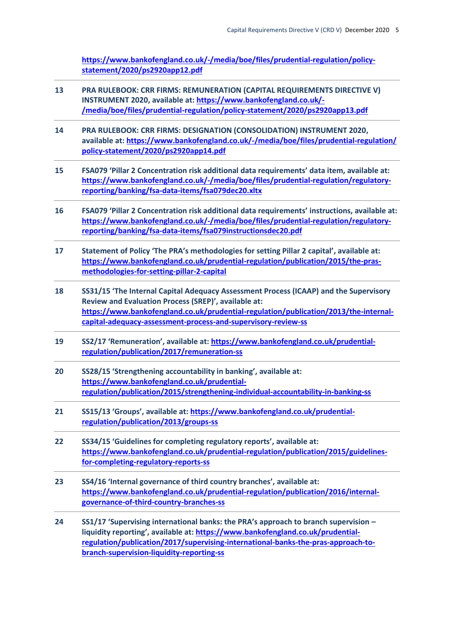**[https://www.bankofengland.co.uk/-/media/boe/files/prudential-regulation/policy](https://www.bankofengland.co.uk/-/media/boe/files/prudential-regulation/policy-statement/2020/ps2920app12.pdf)[statement/2020/ps2920app12.pdf](https://www.bankofengland.co.uk/-/media/boe/files/prudential-regulation/policy-statement/2020/ps2920app12.pdf)** 

- **13 PRA RULEBOOK: CRR FIRMS: REMUNERATION (CAPITAL REQUIREMENTS DIRECTIVE V) INSTRUMENT 2020, available at: [https://www.bankofengland.co.uk/-](https://www.bankofengland.co.uk/-/media/boe/files/prudential-regulation/policy-statement/2020/ps2920app13.pdf) [/media/boe/files/prudential-regulation/policy-statement/2020/ps2920app13.pdf](https://www.bankofengland.co.uk/-/media/boe/files/prudential-regulation/policy-statement/2020/ps2920app13.pdf)**
- **14 PRA RULEBOOK: CRR FIRMS: DESIGNATION (CONSOLIDATION) INSTRUMENT 2020, available at[: https://www.bankofengland.co.uk/-/media/boe/files/prudential-regulation/](https://www.bankofengland.co.uk/-/media/boe/files/prudential-regulation/%20policy-statement/2020/ps2920app14.pdf)  [policy-statement/2020/ps2920app14.pdf](https://www.bankofengland.co.uk/-/media/boe/files/prudential-regulation/%20policy-statement/2020/ps2920app14.pdf)**
- **15 FSA079 'Pillar 2 Concentration risk additional data requirements' data item, available at: [https://www.bankofengland.co.uk/-/media/boe/files/prudential-regulation/regulatory](https://www.bankofengland.co.uk/-/media/boe/files/prudential-regulation/regulatory-reporting/banking/fsa-data-items/fsa079dec20.xltx)[reporting/banking/fsa-data-items/fsa079dec20.xltx](https://www.bankofengland.co.uk/-/media/boe/files/prudential-regulation/regulatory-reporting/banking/fsa-data-items/fsa079dec20.xltx)**
- **16 FSA079 'Pillar 2 Concentration risk additional data requirements' instructions, available at: [https://www.bankofengland.co.uk/-/media/boe/files/prudential-regulation/regulatory](https://www.bankofengland.co.uk/-/media/boe/files/prudential-regulation/regulatory-reporting/banking/fsa-data-items/fsa079instructionsdec20.pdf)[reporting/banking/fsa-data-items/fsa079instructionsdec20.pdf](https://www.bankofengland.co.uk/-/media/boe/files/prudential-regulation/regulatory-reporting/banking/fsa-data-items/fsa079instructionsdec20.pdf)**
- **17 Statement of Policy 'The PRA's methodologies for setting Pillar 2 capital', available at: [https://www.bankofengland.co.uk/prudential-regulation/publication/2015/the-pras](https://www.bankofengland.co.uk/prudential-regulation/publication/2015/the-pras-methodologies-for-setting-pillar-2-capital)[methodologies-for-setting-pillar-2-capital](https://www.bankofengland.co.uk/prudential-regulation/publication/2015/the-pras-methodologies-for-setting-pillar-2-capital)**
- **18 SS31/15 'The Internal Capital Adequacy Assessment Process (ICAAP) and the Supervisory Review and Evaluation Process (SREP)', available at: [https://www.bankofengland.co.uk/prudential-regulation/publication/2013/the-internal](https://www.bankofengland.co.uk/prudential-regulation/publication/2013/the-internal-capital-adequacy-assessment-process-and-supervisory-review-ss)[capital-adequacy-assessment-process-and-supervisory-review-ss](https://www.bankofengland.co.uk/prudential-regulation/publication/2013/the-internal-capital-adequacy-assessment-process-and-supervisory-review-ss)**
- **19 SS2/17 'Remuneration', available at: [https://www.bankofengland.co.uk/prudential](https://www.bankofengland.co.uk/prudential-regulation/publication/2017/remuneration-ss)[regulation/publication/2017/remuneration-ss](https://www.bankofengland.co.uk/prudential-regulation/publication/2017/remuneration-ss)**
- **20 SS28/15 'Strengthening accountability in banking', available at: [https://www.bankofengland.co.uk/prudential](https://www.bankofengland.co.uk/prudential-regulation/publication/2015/strengthening-individual-accountability-in-banking-ss)[regulation/publication/2015/strengthening-individual-accountability-in-banking-ss](https://www.bankofengland.co.uk/prudential-regulation/publication/2015/strengthening-individual-accountability-in-banking-ss)**
- **21 SS15/13 'Groups', available at[: https://www.bankofengland.co.uk/prudential](https://www.bankofengland.co.uk/prudential-regulation/publication/2013/groups-ss)[regulation/publication/2013/groups-ss](https://www.bankofengland.co.uk/prudential-regulation/publication/2013/groups-ss)**
- **22 SS34/15 'Guidelines for completing regulatory reports', available at: [https://www.bankofengland.co.uk/prudential-regulation/publication/2015/guidelines](https://www.bankofengland.co.uk/prudential-regulation/publication/2015/guidelines-for-completing-regulatory-reports-ss)[for-completing-regulatory-reports-ss](https://www.bankofengland.co.uk/prudential-regulation/publication/2015/guidelines-for-completing-regulatory-reports-ss)**
- **23 SS4/16 'Internal governance of third country branches', available at: [https://www.bankofengland.co.uk/prudential-regulation/publication/2016/internal](https://www.bankofengland.co.uk/prudential-regulation/publication/2016/internal-governance-of-third-country-branches-ss)[governance-of-third-country-branches-ss](https://www.bankofengland.co.uk/prudential-regulation/publication/2016/internal-governance-of-third-country-branches-ss)**
- **24 SS1/17 'Supervising international banks: the PRA's approach to branch supervision – liquidity reporting', available at[: https://www.bankofengland.co.uk/prudential](https://www.bankofengland.co.uk/prudential-regulation/publication/2017/supervising-international-banks-the-pras-approach-to-branch-supervision-liquidity-reporting-ss)[regulation/publication/2017/supervising-international-banks-the-pras-approach-to](https://www.bankofengland.co.uk/prudential-regulation/publication/2017/supervising-international-banks-the-pras-approach-to-branch-supervision-liquidity-reporting-ss)[branch-supervision-liquidity-reporting-ss](https://www.bankofengland.co.uk/prudential-regulation/publication/2017/supervising-international-banks-the-pras-approach-to-branch-supervision-liquidity-reporting-ss)**